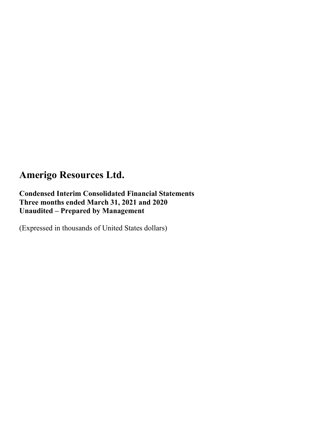**Condensed Interim Consolidated Financial Statements Three months ended March 31, 2021 and 2020 Unaudited – Prepared by Management**

(Expressed in thousands of United States dollars)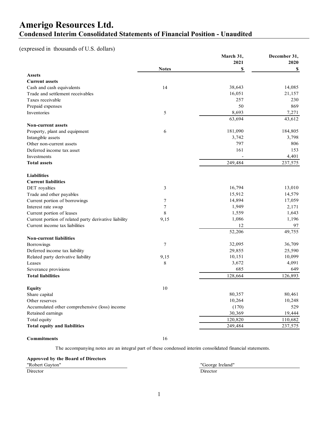## **Amerigo Resources Ltd. Condensed Interim Consolidated Statements of Financial Position - Unaudited**

## (expressed in thousands of U.S. dollars)

|                                                       |              | March 31, | December 31, |
|-------------------------------------------------------|--------------|-----------|--------------|
|                                                       |              | 2021      | 2020         |
|                                                       | <b>Notes</b> | \$        | \$           |
| <b>Assets</b>                                         |              |           |              |
| <b>Current assets</b>                                 |              |           |              |
| Cash and cash equivalents                             | 14           | 38,643    | 14,085       |
| Trade and settlement receivables                      |              | 16,051    | 21,157       |
| Taxes receivable                                      |              | 257       | 230          |
| Prepaid expenses                                      |              | 50        | 869          |
| Inventories                                           | 5            | 8,693     | 7,271        |
|                                                       |              | 63,694    | 43,612       |
| <b>Non-current assets</b>                             |              |           |              |
| Property, plant and equipment                         | 6            | 181,090   | 184,805      |
| Intangible assets                                     |              | 3,742     | 3,798        |
| Other non-current assets                              |              | 797       | 806          |
| Deferred income tax asset                             |              | 161       | 153          |
| Investments                                           |              |           | 4,401        |
| <b>Total assets</b>                                   |              | 249,484   | 237,575      |
|                                                       |              |           |              |
| <b>Liabilities</b>                                    |              |           |              |
| <b>Current liabilities</b>                            |              |           |              |
| DET royalties                                         | 3            | 16,794    | 13,010       |
| Trade and other payables                              |              | 15,912    | 14,579       |
| Current portion of borrowings                         | 7            | 14,894    | 17,059       |
| Interest rate swap                                    | 7            | 1,949     | 2,171        |
| Current portion of leases                             | 8            | 1,559     | 1,643        |
| Current portion of related party derivative liability | 9,15         | 1,086     | 1,196        |
| Current income tax liabilities                        |              | 12        | 97           |
|                                                       |              | 52,206    | 49,755       |
| <b>Non-current liabilities</b>                        |              |           |              |
| Borrowings                                            | 7            | 32,095    | 36,709       |
| Deferred income tax liability                         |              | 29,855    | 25,590       |
| Related party derivative liability                    | 9,15         | 10,151    | 10,099       |
| Leases                                                | 8            | 3,672     | 4,091        |
| Severance provisions                                  |              | 685       | 649          |
| <b>Total liabilities</b>                              |              | 128,664   | 126,893      |
|                                                       |              |           |              |
| <b>Equity</b>                                         | 10           |           |              |
| Share capital                                         |              | 80,357    | 80,461       |
| Other reserves                                        |              | 10,264    | 10,248       |
| Accumulated other comprehensive (loss) income         |              | (170)     | 529          |
| Retained earnings                                     |              | 30,369    | 19,444       |
| Total equity                                          |              | 120,820   | 110,682      |
| <b>Total equity and liabilities</b>                   |              | 249,484   | 237,575      |
|                                                       |              |           |              |

**Commitments** 16

The accompanying notes are an integral part of these condensed interim consolidated financial statements.

#### **Approved by the Board of Directors** "Robert Gayton" "George Ireland"

Director Director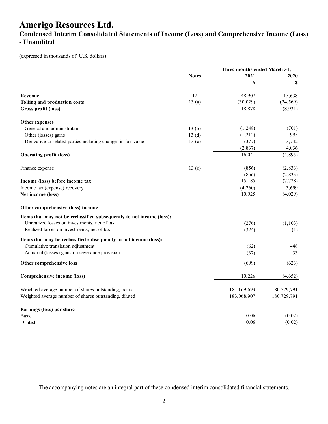## **Condensed Interim Consolidated Statements of Income (Loss) and Comprehensive Income (Loss) - Unaudited**

(expressed in thousands of U.S. dollars)

|                                                                       | Three months ended March 31, |             |             |
|-----------------------------------------------------------------------|------------------------------|-------------|-------------|
|                                                                       | <b>Notes</b>                 | 2021        | 2020        |
|                                                                       |                              | \$          | S           |
| Revenue                                                               | 12                           | 48,907      | 15,638      |
| Tolling and production costs                                          | 13(a)                        | (30,029)    | (24, 569)   |
| Gross profit (loss)                                                   |                              | 18,878      | (8,931)     |
| Other expenses                                                        |                              |             |             |
| General and administration                                            | 13(b)                        | (1,248)     | (701)       |
| Other (losses) gains                                                  | 13(d)                        | (1,212)     | 995         |
| Derivative to related parties including changes in fair value         | 13(c)                        | (377)       | 3,742       |
|                                                                       |                              | (2, 837)    | 4,036       |
| <b>Operating profit (loss)</b>                                        |                              | 16,041      | (4,895)     |
| Finance expense                                                       | 13(e)                        | (856)       | (2, 833)    |
|                                                                       |                              | (856)       | (2, 833)    |
| Income (loss) before income tax                                       |                              | 15,185      | (7, 728)    |
| Income tax (expense) recovery                                         |                              | (4,260)     | 3,699       |
| Net income (loss)                                                     |                              | 10,925      | (4,029)     |
| Other comprehensive (loss) income                                     |                              |             |             |
| Items that may not be reclassified subsequently to net income (loss): |                              |             |             |
| Unrealized losses on investments, net of tax                          |                              | (276)       | (1,103)     |
| Realized losses on investments, net of tax                            |                              | (324)       | (1)         |
| Items that may be reclassified subsequently to net income (loss):     |                              |             |             |
| Cumulative translation adjustment                                     |                              | (62)        | 448         |
| Actuarial (losses) gains on severance provision                       |                              | (37)        | 33          |
| Other comprehensive loss                                              |                              | (699)       | (623)       |
| Comprehensive income (loss)                                           |                              | 10,226      | (4,652)     |
| Weighted average number of shares outstanding, basic                  |                              | 181,169,693 | 180,729,791 |
| Weighted average number of shares outstanding, diluted                |                              | 183,068,907 | 180,729,791 |
| Earnings (loss) per share                                             |                              |             |             |
| <b>Basic</b>                                                          |                              | 0.06        | (0.02)      |
| Diluted                                                               |                              | 0.06        | (0.02)      |

The accompanying notes are an integral part of these condensed interim consolidated financial statements.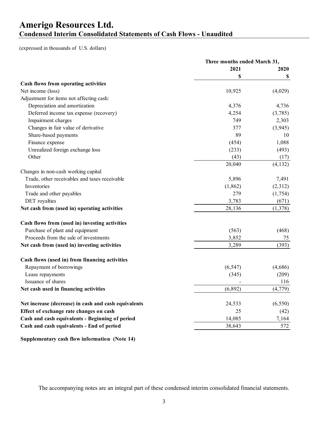## **Amerigo Resources Ltd. Condensed Interim Consolidated Statements of Cash Flows - Unaudited**

(expressed in thousands of U.S. dollars)

|                                                      |          | Three months ended March 31, |  |
|------------------------------------------------------|----------|------------------------------|--|
|                                                      | 2021     | 2020                         |  |
|                                                      | \$       | \$                           |  |
| Cash flows from operating activities                 |          |                              |  |
| Net income (loss)                                    | 10,925   | (4,029)                      |  |
| Adjustment for items not affecting cash:             |          |                              |  |
| Depreciation and amortization                        | 4,376    | 4,736                        |  |
| Deferred income tax expense (recovery)               | 4,254    | (3,785)                      |  |
| Impairment charges                                   | 749      | 2,303                        |  |
| Changes in fair value of derivative                  | 377      | (3,945)                      |  |
| Share-based payments                                 | 89       | 10                           |  |
| Finance expense                                      | (454)    | 1,088                        |  |
| Unrealized foreign exchange loss                     | (233)    | (493)                        |  |
| Other                                                | (43)     | (17)                         |  |
|                                                      | 20,040   | (4, 132)                     |  |
| Changes in non-cash working capital                  |          |                              |  |
| Trade, other receivables and taxes receivable        | 5,896    | 7,491                        |  |
| Inventories                                          | (1,862)  | (2,312)                      |  |
| Trade and other payables                             | 279      | (1,754)                      |  |
| DET royalties                                        | 3,783    | (671)                        |  |
| Net cash from (used in) operating activities         | 28,136   | (1,378)                      |  |
| Cash flows from (used in) investing activities       |          |                              |  |
| Purchase of plant and equipment                      | (563)    | (468)                        |  |
| Proceeds from the sale of investments                | 3,852    | 75                           |  |
| Net cash from (used in) investing activities         | 3,289    | (393)                        |  |
| Cash flows (used in) from financing activities       |          |                              |  |
| Repayment of borrowings                              | (6, 547) | (4,686)                      |  |
| Lease repayments                                     | (345)    | (209)                        |  |
| Issuance of shares                                   |          | 116                          |  |
| Net cash used in financing activities                | (6,892)  | (4,779)                      |  |
|                                                      |          |                              |  |
| Net increase (decrease) in cash and cash equivalents | 24,533   | (6, 550)                     |  |
| Effect of exchange rate changes on cash              | 25       | (42)                         |  |
| Cash and cash equivalents - Beginning of period      | 14,085   | 7,164                        |  |
| Cash and cash equivalents - End of period            | 38,643   | 572                          |  |

**Supplementary cash flow information (Note 14)**

The accompanying notes are an integral part of these condensed interim consolidated financial statements.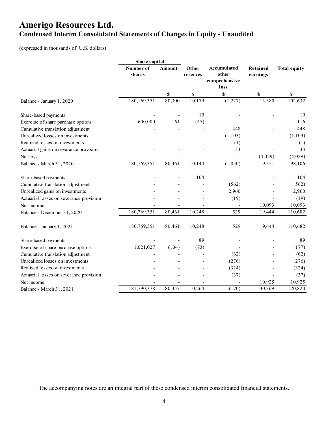## **Amerigo Resources Ltd. Condensed Interim Consolidated Statements of Changes in Equity - Unaudited**

(expressed in thousands of U.S. dollars)

|                                         | Share capital       |        |                   |                                       |                      |                     |
|-----------------------------------------|---------------------|--------|-------------------|---------------------------------------|----------------------|---------------------|
|                                         | Number of<br>shares | Amount | Other<br>reserves | Accumulated<br>other<br>comprehensive | Retained<br>earnings | <b>Total equity</b> |
|                                         |                     |        |                   | loss                                  |                      |                     |
|                                         |                     | \$     | \$                | \$                                    | $\mathbb S$          | \$                  |
| Balance - January 1, 2020               | 180,169,351         | 80,300 | 10,179            | (1,227)                               | 13,380               | 102,632             |
| Share-based payments                    |                     |        | 10                |                                       |                      | 10                  |
| Exercise of share purchase options      | 600,000             | 161    | (45)              |                                       |                      | 116                 |
| Cumulative translation adjustment       |                     |        |                   | 448                                   |                      | 448                 |
| Unrealized losses on investments        |                     |        |                   | (1,103)                               |                      | (1,103)             |
| Realized losses on investments          |                     |        |                   | (1)                                   |                      | (1)                 |
| Actuarial gains on severance provision  |                     |        |                   | 33                                    |                      | 33                  |
| Net loss                                |                     |        |                   |                                       | (4,029)              | (4,029)             |
| Balance - March 31, 2020                | 180,769,351         | 80,461 | 10,144            | (1, 850)                              | 9,351                | 98,106              |
| Share-based payments                    |                     |        | 104               |                                       |                      | 104                 |
| Cumulative translation adjustment       |                     |        |                   | (562)                                 |                      | (562)               |
| Unrealized gains on investments         |                     |        |                   | 2,960                                 |                      | 2,960               |
| Actuarial losses on severance provision |                     |        |                   | (19)                                  |                      | (19)                |
| Net income                              |                     |        |                   |                                       | 10,093               | 10,093              |
| Balance - December 31, 2020             | 180,769,351         | 80,461 | 10,248            | 529                                   | 19,444               | 110,682             |
| Balance - January 1, 2021               | 180,769,351         | 80,461 | 10,248            | 529                                   | 19,444               | 110,682             |
| Share-based payments                    |                     |        | 89                |                                       |                      | 89                  |
| Exercise of share purchase options      | 1,021,027           | (104)  | (73)              |                                       |                      | (177)               |
| Cumulative translation adjustment       |                     |        |                   | (62)                                  |                      | (62)                |
| Unrealized losses on investments        |                     |        |                   | (276)                                 |                      | (276)               |
| Realized losses on investments          |                     |        |                   | (324)                                 |                      | (324)               |
| Actuarial losses on severance provision |                     |        |                   | (37)                                  |                      | (37)                |
| Net income                              |                     |        |                   |                                       | 10,925               | 10,925              |
| Balance - March 31, 2021                | 181,790,378         | 80,357 | 10,264            | (170)                                 | 30,369               | 120,820             |

The accompanying notes are an integral part of these condensed interim consolidated financial statements.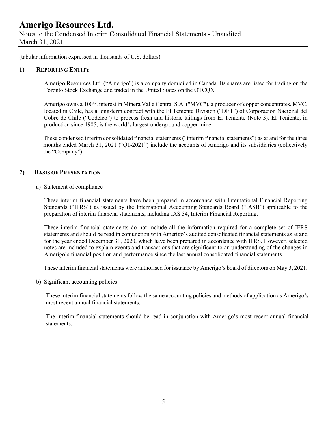Notes to the Condensed Interim Consolidated Financial Statements - Unaudited March 31, 2021

(tabular information expressed in thousands of U.S. dollars)

#### **1) REPORTING ENTITY**

Amerigo Resources Ltd. ("Amerigo") is a company domiciled in Canada. Its shares are listed for trading on the Toronto Stock Exchange and traded in the United States on the OTCQX.

Amerigo owns a 100% interest in Minera Valle Central S.A. ("MVC"), a producer of copper concentrates. MVC, located in Chile, has a long-term contract with the El Teniente Division ("DET") of Corporación Nacional del Cobre de Chile ("Codelco") to process fresh and historic tailings from El Teniente (Note 3). El Teniente, in production since 1905, is the world's largest underground copper mine.

These condensed interim consolidated financial statements ("interim financial statements") as at and for the three months ended March 31, 2021 ("Q1-2021") include the accounts of Amerigo and its subsidiaries (collectively the "Company").

## **2) BASIS OF PRESENTATION**

a) Statement of compliance

These interim financial statements have been prepared in accordance with International Financial Reporting Standards ("IFRS") as issued by the International Accounting Standards Board ("IASB") applicable to the preparation of interim financial statements, including IAS 34, Interim Financial Reporting.

These interim financial statements do not include all the information required for a complete set of IFRS statements and should be read in conjunction with Amerigo's audited consolidated financial statements as at and for the year ended December 31, 2020, which have been prepared in accordance with IFRS. However, selected notes are included to explain events and transactions that are significant to an understanding of the changes in Amerigo's financial position and performance since the last annual consolidated financial statements.

These interim financial statements were authorised for issuance by Amerigo's board of directors on May 3, 2021.

b) Significant accounting policies

These interim financial statements follow the same accounting policies and methods of application as Amerigo's most recent annual financial statements.

The interim financial statements should be read in conjunction with Amerigo's most recent annual financial statements.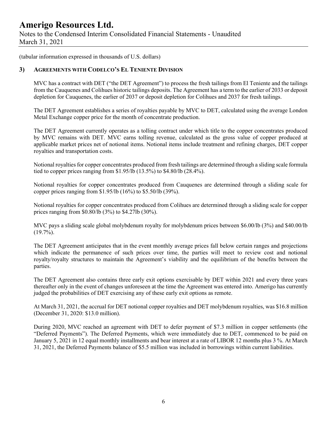Notes to the Condensed Interim Consolidated Financial Statements - Unaudited March 31, 2021

(tabular information expressed in thousands of U.S. dollars)

## **3) AGREEMENTS WITH CODELCO'S EL TENIENTE DIVISION**

MVC has a contract with DET ("the DET Agreement") to process the fresh tailings from El Teniente and the tailings from the Cauquenes and Colihues historic tailings deposits. The Agreement has a term to the earlier of 2033 or deposit depletion for Cauquenes, the earlier of 2037 or deposit depletion for Colihues and 2037 for fresh tailings.

The DET Agreement establishes a series of royalties payable by MVC to DET, calculated using the average London Metal Exchange copper price for the month of concentrate production.

The DET Agreement currently operates as a tolling contract under which title to the copper concentrates produced by MVC remains with DET. MVC earns tolling revenue, calculated as the gross value of copper produced at applicable market prices net of notional items. Notional items include treatment and refining charges, DET copper royalties and transportation costs.

Notional royalties for copper concentrates produced from fresh tailings are determined through a sliding scale formula tied to copper prices ranging from \$1.95/lb (13.5%) to \$4.80/lb (28.4%).

Notional royalties for copper concentrates produced from Cauquenes are determined through a sliding scale for copper prices ranging from \$1.95/lb (16%) to \$5.50/lb (39%).

Notional royalties for copper concentrates produced from Colihues are determined through a sliding scale for copper prices ranging from \$0.80/lb (3%) to \$4.27lb (30%).

MVC pays a sliding scale global molybdenum royalty for molybdenum prices between \$6.00/lb (3%) and \$40.00/lb  $(19.7\%)$ .

The DET Agreement anticipates that in the event monthly average prices fall below certain ranges and projections which indicate the permanence of such prices over time, the parties will meet to review cost and notional royalty/royalty structures to maintain the Agreement's viability and the equilibrium of the benefits between the parties.

The DET Agreement also contains three early exit options exercisable by DET within 2021 and every three years thereafter only in the event of changes unforeseen at the time the Agreement was entered into. Amerigo has currently judged the probabilities of DET exercising any of these early exit options as remote.

At March 31, 2021, the accrual for DET notional copper royalties and DET molybdenum royalties, was \$16.8 million (December 31, 2020: \$13.0 million).

During 2020, MVC reached an agreement with DET to defer payment of \$7.3 million in copper settlements (the "Deferred Payments"). The Deferred Payments, which were immediately due to DET, commenced to be paid on January 5, 2021 in 12 equal monthly installments and bear interest at a rate of LIBOR 12 months plus 3 %. At March 31, 2021, the Deferred Payments balance of \$5.5 million was included in borrowings within current liabilities.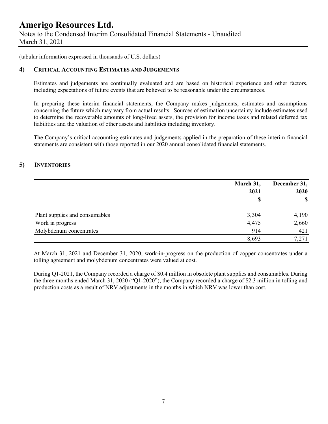Notes to the Condensed Interim Consolidated Financial Statements - Unaudited March 31, 2021

(tabular information expressed in thousands of U.S. dollars)

## **4) CRITICAL ACCOUNTING ESTIMATES AND JUDGEMENTS**

Estimates and judgements are continually evaluated and are based on historical experience and other factors, including expectations of future events that are believed to be reasonable under the circumstances.

In preparing these interim financial statements, the Company makes judgements, estimates and assumptions concerning the future which may vary from actual results. Sources of estimation uncertainty include estimates used to determine the recoverable amounts of long-lived assets, the provision for income taxes and related deferred tax liabilities and the valuation of other assets and liabilities including inventory.

The Company's critical accounting estimates and judgements applied in the preparation of these interim financial statements are consistent with those reported in our 2020 annual consolidated financial statements.

## **5) INVENTORIES**

|                                | March 31, | December 31, |  |
|--------------------------------|-----------|--------------|--|
|                                | 2021      | 2020         |  |
|                                | S         | S            |  |
| Plant supplies and consumables | 3,304     | 4,190        |  |
| Work in progress               | 4,475     | 2,660        |  |
| Molybdenum concentrates        | 914       | 421          |  |
|                                | 8,693     | 7,271        |  |

At March 31, 2021 and December 31, 2020, work-in-progress on the production of copper concentrates under a tolling agreement and molybdenum concentrates were valued at cost.

During Q1-2021, the Company recorded a charge of \$0.4 million in obsolete plant supplies and consumables. During the three months ended March 31, 2020 ("Q1-2020"), the Company recorded a charge of \$2.3 million in tolling and production costs as a result of NRV adjustments in the months in which NRV was lower than cost.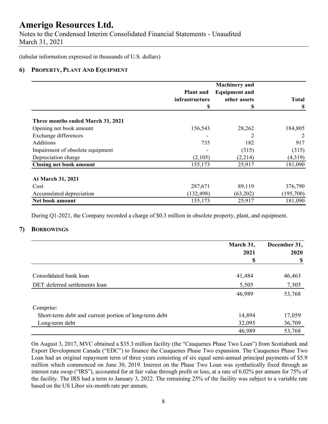Notes to the Condensed Interim Consolidated Financial Statements - Unaudited March 31, 2021

(tabular information expressed in thousands of U.S. dollars)

## **6) PROPERTY, PLANT AND EQUIPMENT**

|                                   |                  | <b>Machinery</b> and |              |
|-----------------------------------|------------------|----------------------|--------------|
|                                   | <b>Plant and</b> | <b>Equipment and</b> |              |
|                                   | infrastructure   | other assets         | <b>Total</b> |
|                                   | \$               | S                    | \$           |
| Three months ended March 31, 2021 |                  |                      |              |
| Opening net book amount           | 156,543          | 28,262               | 184,805      |
| Exchange differences              |                  | 2                    | 2            |
| Additions                         | 735              | 182                  | 917          |
| Impairment of obsolete equipment  |                  | (315)                | (315)        |
| Depreciation charge               | (2,105)          | (2,214)              | (4,319)      |
| <b>Closing net book amount</b>    | 155,173          | 25,917               | 181,090      |
| At March 31, 2021                 |                  |                      |              |
| Cost                              | 287,671          | 89,119               | 376,790      |
| Accumulated depreciation          | (132, 498)       | (63,202)             | (195,700)    |
| Net book amount                   | 155,173          | 25,917               | 181,090      |

During Q1-2021, the Company recorded a charge of \$0.3 million in obsolete property, plant, and equipment.

## **7) BORROWINGS**

|                                                       | March 31, | December 31, |  |
|-------------------------------------------------------|-----------|--------------|--|
|                                                       | 2021      | 2020         |  |
|                                                       | \$        | \$           |  |
| Consolidated bank loan                                | 41,484    | 46,463       |  |
| DET deferred settlements loan                         | 5,505     | 7,305        |  |
|                                                       | 46,989    | 53,768       |  |
| Comprise:                                             |           |              |  |
| Short-term debt and current portion of long-term debt | 14,894    | 17,059       |  |
| Long-term debt                                        | 32,095    | 36,709       |  |
|                                                       | 46,989    | 53,768       |  |

On August 3, 2017, MVC obtained a \$35.3 million facility (the "Cauquenes Phase Two Loan") from Scotiabank and Export Development Canada ("EDC") to finance the Cauquenes Phase Two expansion. The Cauquenes Phase Two Loan had an original repayment term of three years consisting of six equal semi-annual principal payments of \$5.9 million which commenced on June 30, 2019. Interest on the Phase Two Loan was synthetically fixed through an interest rate swap ("IRS"), accounted for at fair value through profit or loss, at a rate of 6.02% per annum for 75% of the facility. The IRS had a term to January 3, 2022. The remaining 25% of the facility was subject to a variable rate based on the US Libor six-month rate per annum.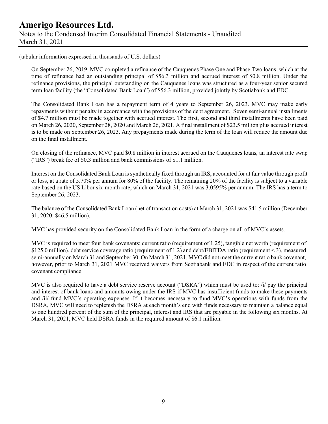## **Amerigo Resources Ltd.** Notes to the Condensed Interim Consolidated Financial Statements - Unaudited March 31, 2021

(tabular information expressed in thousands of U.S. dollars)

On September 26, 2019, MVC completed a refinance of the Cauquenes Phase One and Phase Two loans, which at the time of refinance had an outstanding principal of \$56.3 million and accrued interest of \$0.8 million. Under the refinance provisions, the principal outstanding on the Cauquenes loans was structured as a four-year senior secured term loan facility (the "Consolidated Bank Loan") of \$56.3 million, provided jointly by Scotiabank and EDC.

The Consolidated Bank Loan has a repayment term of 4 years to September 26, 2023. MVC may make early repayments without penalty in accordance with the provisions of the debt agreement. Seven semi-annual installments of \$4.7 million must be made together with accrued interest. The first, second and third installments have been paid on March 26, 2020, September 28, 2020 and March 26, 2021. A final installment of \$23.5 million plus accrued interest is to be made on September 26, 2023. Any prepayments made during the term of the loan will reduce the amount due on the final installment.

On closing of the refinance, MVC paid \$0.8 million in interest accrued on the Cauquenes loans, an interest rate swap ("IRS") break fee of \$0.3 million and bank commissions of \$1.1 million.

Interest on the Consolidated Bank Loan is synthetically fixed through an IRS, accounted for at fair value through profit or loss, at a rate of 5.70% per annum for 80% of the facility. The remaining 20% of the facility is subject to a variable rate based on the US Libor six-month rate, which on March 31, 2021 was 3.0595% per annum. The IRS has a term to September 26, 2023.

The balance of the Consolidated Bank Loan (net of transaction costs) at March 31, 2021 was \$41.5 million (December 31, 2020: \$46.5 million).

MVC has provided security on the Consolidated Bank Loan in the form of a charge on all of MVC's assets.

MVC is required to meet four bank covenants: current ratio (requirement of 1.25), tangible net worth (requirement of \$125.0 million), debt service coverage ratio (requirement of 1.2) and debt/EBITDA ratio (requirement < 3), measured semi-annually on March 31 and September 30. On March 31, 2021, MVC did not meet the current ratio bank covenant, however, prior to March 31, 2021 MVC received waivers from Scotiabank and EDC in respect of the current ratio covenant compliance.

MVC is also required to have a debt service reserve account ("DSRA") which must be used to: /i/ pay the principal and interest of bank loans and amounts owing under the IRS if MVC has insufficient funds to make these payments and /ii/ fund MVC's operating expenses. If it becomes necessary to fund MVC's operations with funds from the DSRA, MVC will need to replenish the DSRA at each month's end with funds necessary to maintain a balance equal to one hundred percent of the sum of the principal, interest and IRS that are payable in the following six months. At March 31, 2021, MVC held DSRA funds in the required amount of \$6.1 million.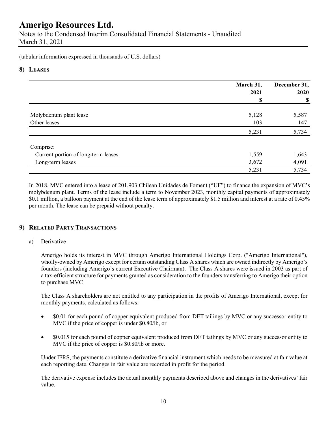Notes to the Condensed Interim Consolidated Financial Statements - Unaudited March 31, 2021

(tabular information expressed in thousands of U.S. dollars)

## **8) LEASES**

|                                     | March 31, | December 31, |  |
|-------------------------------------|-----------|--------------|--|
|                                     | 2021      | 2020         |  |
|                                     | \$        | \$           |  |
| Molybdenum plant lease              | 5,128     | 5,587        |  |
| Other leases                        | 103       | 147          |  |
|                                     | 5,231     | 5,734        |  |
| Comprise:                           |           |              |  |
| Current portion of long-term leases | 1,559     | 1,643        |  |
| Long-term leases                    | 3,672     | 4,091        |  |
|                                     | 5,231     | 5,734        |  |

In 2018, MVC entered into a lease of 201,903 Chilean Unidades de Foment ("UF") to finance the expansion of MVC's molybdenum plant. Terms of the lease include a term to November 2023, monthly capital payments of approximately \$0.1 million, a balloon payment at the end of the lease term of approximately \$1.5 million and interest at a rate of 0.45% per month. The lease can be prepaid without penalty.

## **9) RELATED PARTY TRANSACTIONS**

a) Derivative

Amerigo holds its interest in MVC through Amerigo International Holdings Corp. ("Amerigo International"), wholly-owned by Amerigo except for certain outstanding Class A shares which are owned indirectly by Amerigo's founders (including Amerigo's current Executive Chairman). The Class A shares were issued in 2003 as part of a tax-efficient structure for payments granted as consideration to the founders transferring to Amerigo their option to purchase MVC

The Class A shareholders are not entitled to any participation in the profits of Amerigo International, except for monthly payments, calculated as follows:

- \$0.01 for each pound of copper equivalent produced from DET tailings by MVC or any successor entity to MVC if the price of copper is under \$0.80/lb, or
- \$0.015 for each pound of copper equivalent produced from DET tailings by MVC or any successor entity to MVC if the price of copper is \$0.80/lb or more.

Under IFRS, the payments constitute a derivative financial instrument which needs to be measured at fair value at each reporting date. Changes in fair value are recorded in profit for the period.

The derivative expense includes the actual monthly payments described above and changes in the derivatives' fair value.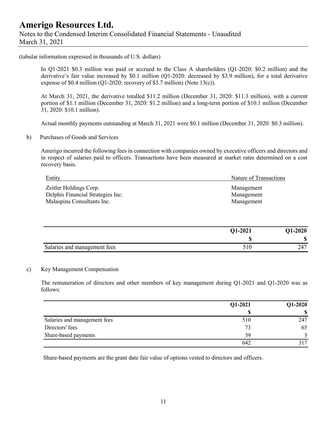## **Amerigo Resources Ltd.** Notes to the Condensed Interim Consolidated Financial Statements - Unaudited March 31, 2021

(tabular information expressed in thousands of U.S. dollars)

In Q1-2021 \$0.3 million was paid or accrued to the Class A shareholders (Q1-2020: \$0.2 million) and the derivative's fair value increased by \$0.1 million (Q1-2020: decreased by \$3.9 million), for a total derivative expense of \$0.4 million (Q1-2020: recovery of \$3.7 million) (Note 13(c)).

At March 31, 2021, the derivative totalled \$11.2 million (December 31, 2020: \$11.3 million), with a current portion of \$1.1 million (December 31, 2020: \$1.2 million) and a long-term portion of \$10.1 million (December 31, 2020: \$10.1 million).

Actual monthly payments outstanding at March 31, 2021 were \$0.1 million (December 31, 2020: \$0.3 million).

b) Purchases of Goods and Services

Amerigo incurred the following fees in connection with companies owned by executive officers and directors and in respect of salaries paid to officers. Transactions have been measured at market rates determined on a cost recovery basis.

| Entity                                                                                    | Nature of Transactions                 |
|-------------------------------------------------------------------------------------------|----------------------------------------|
| Zeitler Holdings Corp.<br>Delphis Financial Strategies Inc.<br>Malaspina Consultants Inc. | Management<br>Management<br>Management |
|                                                                                           |                                        |

|                              | Q1-2021 | <b>Q1-2020</b> |
|------------------------------|---------|----------------|
|                              |         |                |
| Salaries and management fees |         | 247            |

#### c) Key Management Compensation

The remuneration of directors and other members of key management during Q1-2021 and Q1-2020 was as follows:

|                              | Q1-2021 | $Q1-2020$ |
|------------------------------|---------|-----------|
|                              |         |           |
| Salaries and management fees | 510     | 247       |
| Directors' fees              | 73      | 65        |
| Share-based payments         | 59      |           |
|                              | 642     | 317       |

Share-based payments are the grant date fair value of options vested to directors and officers.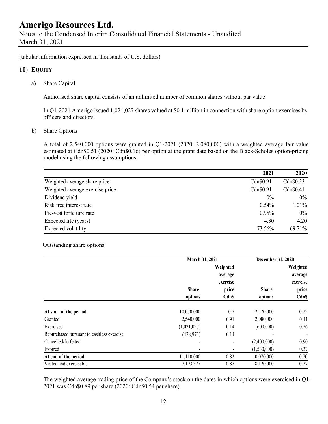Notes to the Condensed Interim Consolidated Financial Statements - Unaudited March 31, 2021

(tabular information expressed in thousands of U.S. dollars)

## **10) EQUITY**

a) Share Capital

Authorised share capital consists of an unlimited number of common shares without par value.

In Q1-2021 Amerigo issued 1,021,027 shares valued at \$0.1 million in connection with share option exercises by officers and directors.

b) Share Options

A total of 2,540,000 options were granted in Q1-2021 (2020: 2,080,000) with a weighted average fair value estimated at Cdn\$0.51 (2020: Cdn\$0.16) per option at the grant date based on the Black-Scholes option-pricing model using the following assumptions:

|                                 | 2021      | 2020      |
|---------------------------------|-----------|-----------|
| Weighted average share price    | Cdn\$0.91 | Cdn\$0.33 |
| Weighted average exercise price | Cdn\$0.91 | Cdn\$0.41 |
| Dividend yield                  | $0\%$     | $0\%$     |
| Risk free interest rate         | 0.54%     | 1.01%     |
| Pre-vest forfeiture rate        | 0.95%     | $0\%$     |
| Expected life (years)           | 4.30      | 4.20      |
| Expected volatility             | 73.56%    | 69.71%    |

Outstanding share options:

|                                           | March 31, 2021 |                     | December 31, 2020 |                     |
|-------------------------------------------|----------------|---------------------|-------------------|---------------------|
|                                           |                | Weighted            |                   | Weighted            |
|                                           |                | average<br>exercise |                   | average<br>exercise |
|                                           | <b>Share</b>   | price               | <b>Share</b>      | price               |
|                                           | options        | <b>Cdn\$</b>        | options           | <b>Cdn\$</b>        |
| At start of the period                    | 10,070,000     | 0.7                 | 12,520,000        | 0.72                |
| Granted                                   | 2,540,000      | 0.91                | 2,080,000         | 0.41                |
| Exercised                                 | (1,021,027)    | 0.14                | (600,000)         | 0.26                |
| Repurchased pursuant to cashless exercise | (478, 973)     | 0.14                |                   | ٠                   |
| Cancelled/forfeited                       |                |                     | (2,400,000)       | 0.90                |
| Expired                                   |                |                     | (1,530,000)       | 0.37                |
| At end of the period                      | 11,110,000     | 0.82                | 10,070,000        | 0.70                |
| Vested and exercisable                    | 7,193,327      | 0.87                | 8,120,000         | 0.77                |

The weighted average trading price of the Company's stock on the dates in which options were exercised in Q1- 2021 was Cdn\$0.89 per share (2020: Cdn\$0.54 per share).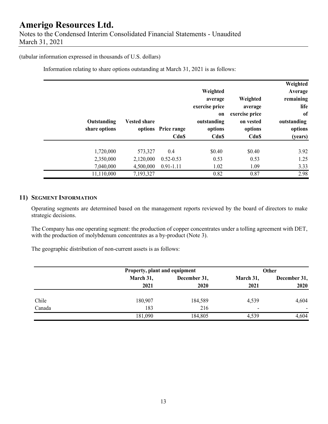Notes to the Condensed Interim Consolidated Financial Statements - Unaudited March 31, 2021

(tabular information expressed in thousands of U.S. dollars)

Information relating to share options outstanding at March 31, 2021 is as follows:

| Weighted<br>Average<br>remaining<br>life<br>of<br>outstanding<br>options<br>(years) | Weighted<br>average<br>exercise price<br>on vested<br>options<br>Cdn\$ | Weighted<br>average<br>exercise price<br>on<br>outstanding<br>options<br><b>CdnS</b> | options Price range<br>Cdn\$ | <b>Vested share</b> | Outstanding<br>share options |  |
|-------------------------------------------------------------------------------------|------------------------------------------------------------------------|--------------------------------------------------------------------------------------|------------------------------|---------------------|------------------------------|--|
| 3.92                                                                                | \$0.40                                                                 | \$0.40                                                                               | 0.4                          | 573,327             | 1,720,000                    |  |
| 1.25                                                                                | 0.53                                                                   | 0.53                                                                                 | $0.52 - 0.53$                | 2,120,000           | 2,350,000                    |  |
| 3.33                                                                                | 1.09                                                                   | 1.02                                                                                 | $0.91 - 1.11$                | 4,500,000           | 7,040,000                    |  |
| 2.98                                                                                | 0.87                                                                   | 0.82                                                                                 |                              | 7,193,327           | 11,110,000                   |  |

## **11) SEGMENT INFORMATION**

Operating segments are determined based on the management reports reviewed by the board of directors to make strategic decisions.

The Company has one operating segment: the production of copper concentrates under a tolling agreement with DET, with the production of molybdenum concentrates as a by-product (Note 3).

The geographic distribution of non-current assets is as follows:

|        | Property, plant and equipment |              |           | Other                    |
|--------|-------------------------------|--------------|-----------|--------------------------|
|        | March 31,                     | December 31, | March 31, | December 31,             |
|        | 2021                          | 2020         | 2021      | 2020                     |
| Chile  | 180,907                       | 184,589      | 4,539     | 4,604                    |
| Canada | 183                           | 216          | ٠         | $\overline{\phantom{0}}$ |
|        | 181,090                       | 184,805      | 4,539     | 4,604                    |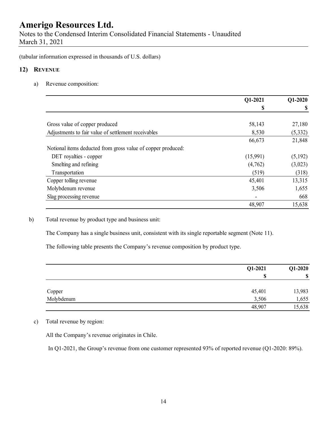Notes to the Condensed Interim Consolidated Financial Statements - Unaudited March 31, 2021

(tabular information expressed in thousands of U.S. dollars)

## **12) REVENUE**

a) Revenue composition:

|                                                              | Q1-2021<br>S | $Q1-2020$ |
|--------------------------------------------------------------|--------------|-----------|
|                                                              |              |           |
|                                                              |              |           |
| Gross value of copper produced                               | 58,143       | 27,180    |
| Adjustments to fair value of settlement receivables          | 8,530        | (5, 332)  |
|                                                              | 66,673       | 21,848    |
| Notional items deducted from gross value of copper produced: |              |           |
| DET royalties - copper                                       | (15,991)     | (5,192)   |
| Smelting and refining                                        | (4,762)      | (3,023)   |
| Transportation                                               | (519)        | (318)     |
| Copper tolling revenue                                       | 45,401       | 13,315    |
| Molybdenum revenue                                           | 3,506        | 1,655     |
| Slag processing revenue                                      |              | 668       |
|                                                              | 48,907       | 15,638    |

b) Total revenue by product type and business unit:

The Company has a single business unit, consistent with its single reportable segment (Note 11).

The following table presents the Company's revenue composition by product type.

|            | Q1-2021 | $Q1-2020$<br>€<br>Φ |
|------------|---------|---------------------|
|            | S       |                     |
| Copper     | 45,401  | 13,983              |
| Molybdenum | 3,506   | 1,655               |
|            | 48,907  | 15,638              |

c) Total revenue by region:

All the Company's revenue originates in Chile.

In Q1-2021, the Group's revenue from one customer represented 93% of reported revenue (Q1-2020: 89%).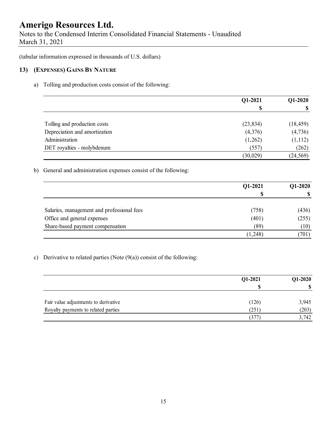Notes to the Condensed Interim Consolidated Financial Statements - Unaudited March 31, 2021

(tabular information expressed in thousands of U.S. dollars)

## **13) (EXPENSES) GAINS BY NATURE**

a) Tolling and production costs consist of the following:

|                               | Q1-2021   | $Q1-2020$ |
|-------------------------------|-----------|-----------|
|                               |           | \$        |
| Tolling and production costs  | (23, 834) | (18, 459) |
| Depreciation and amortization | (4,376)   | (4,736)   |
| Administration                | (1,262)   | (1,112)   |
| DET royalties - molybdenum    | (557)     | (262)     |
|                               | (30, 029) | (24, 569) |

b) General and administration expenses consist of the following:

|                                            | Q1-2021  | $Q1-2020$<br>¢ |
|--------------------------------------------|----------|----------------|
|                                            | ۱D       |                |
| Salaries, management and professional fees | (758)    | (436)          |
| Office and general expenses                | (401)    | (255)          |
| Share-based payment compensation           | (89)     | (10)           |
|                                            | (1, 248) | (701)          |

c) Derivative to related parties (Note  $(9(a))$  consist of the following:

|                                      | Q1-2021  | Q1-2020 |
|--------------------------------------|----------|---------|
|                                      | S        | S       |
| Fair value adjustments to derivative | (126)    | 3,945   |
| Royalty payments to related parties  | (251)    | (203)   |
|                                      | $37^{-}$ | 3,742   |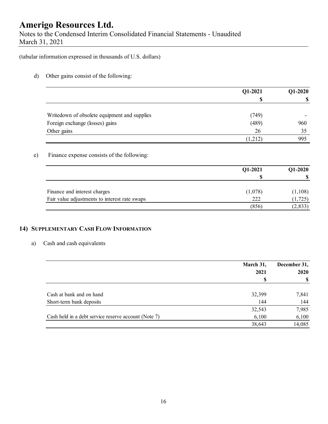Notes to the Condensed Interim Consolidated Financial Statements - Unaudited March 31, 2021

(tabular information expressed in thousands of U.S. dollars)

d) Other gains consist of the following:

|                                              | Q1-2021 | $Q1-2020$ |
|----------------------------------------------|---------|-----------|
|                                              | S       | G.        |
| Writedown of obsolete equipment and supplies | (749)   |           |
| Foreign exchange (losses) gains              | (489)   | 960       |
| Other gains                                  | 26      | 35        |
|                                              | (1,212) | 995       |

## e) Finance expense consists of the following:

|                                               | Q1-2021 | $Q1-2020$<br>S |
|-----------------------------------------------|---------|----------------|
|                                               |         |                |
| Finance and interest charges                  | (1,078) | (1,108)        |
| Fair value adjustments to interest rate swaps | 222     | (1, 725)       |
|                                               | (856)   | (2, 833)       |

## **14) SUPPLEMENTARY CASH FLOW INFORMATION**

## a) Cash and cash equivalents

|                                                      | March 31,<br>2021<br>S | December 31,<br>2020 |
|------------------------------------------------------|------------------------|----------------------|
|                                                      |                        |                      |
|                                                      |                        | S                    |
| Cash at bank and on hand                             | 32,399                 | 7,841                |
| Short-term bank deposits                             | 144                    | 144                  |
|                                                      | 32,543                 | 7,985                |
| Cash held in a debt service reserve account (Note 7) | 6,100                  | 6,100                |
|                                                      | 38,643                 | 14,085               |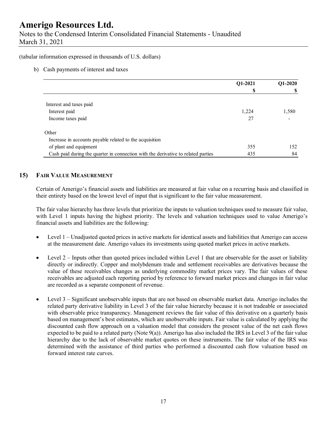Notes to the Condensed Interim Consolidated Financial Statements - Unaudited March 31, 2021

(tabular information expressed in thousands of U.S. dollars)

#### b) Cash payments of interest and taxes

|                                                                                   | Q1-2021 | $Q1-2020$ |
|-----------------------------------------------------------------------------------|---------|-----------|
|                                                                                   | \$      |           |
| Interest and taxes paid                                                           |         |           |
| Interest paid                                                                     | 1,224   | 1,580     |
| Income taxes paid                                                                 | 27      |           |
| Other                                                                             |         |           |
| Increase in accounts payable related to the acquisition                           |         |           |
| of plant and equipment                                                            | 355     | 152       |
| Cash paid during the quarter in connection with the derivative to related parties | 435     | 84        |

## **15) FAIR VALUE MEASUREMENT**

Certain of Amerigo's financial assets and liabilities are measured at fair value on a recurring basis and classified in their entirety based on the lowest level of input that is significant to the fair value measurement.

The fair value hierarchy has three levels that prioritize the inputs to valuation techniques used to measure fair value, with Level 1 inputs having the highest priority. The levels and valuation techniques used to value Amerigo's financial assets and liabilities are the following:

- Level 1 Unadjusted quoted prices in active markets for identical assets and liabilities that Amerigo can access at the measurement date. Amerigo values its investments using quoted market prices in active markets.
- Level  $2$  Inputs other than quoted prices included within Level 1 that are observable for the asset or liability directly or indirectly. Copper and molybdenum trade and settlement receivables are derivatives because the value of these receivables changes as underlying commodity market prices vary. The fair values of these receivables are adjusted each reporting period by reference to forward market prices and changes in fair value are recorded as a separate component of revenue.
- Level 3 Significant unobservable inputs that are not based on observable market data. Amerigo includes the related party derivative liability in Level 3 of the fair value hierarchy because it is not tradeable or associated with observable price transparency. Management reviews the fair value of this derivative on a quarterly basis based on management's best estimates, which are unobservable inputs. Fair value is calculated by applying the discounted cash flow approach on a valuation model that considers the present value of the net cash flows expected to be paid to a related party (Note 9(a)). Amerigo has also included the IRS in Level 3 of the fair value hierarchy due to the lack of observable market quotes on these instruments. The fair value of the IRS was determined with the assistance of third parties who performed a discounted cash flow valuation based on forward interest rate curves.